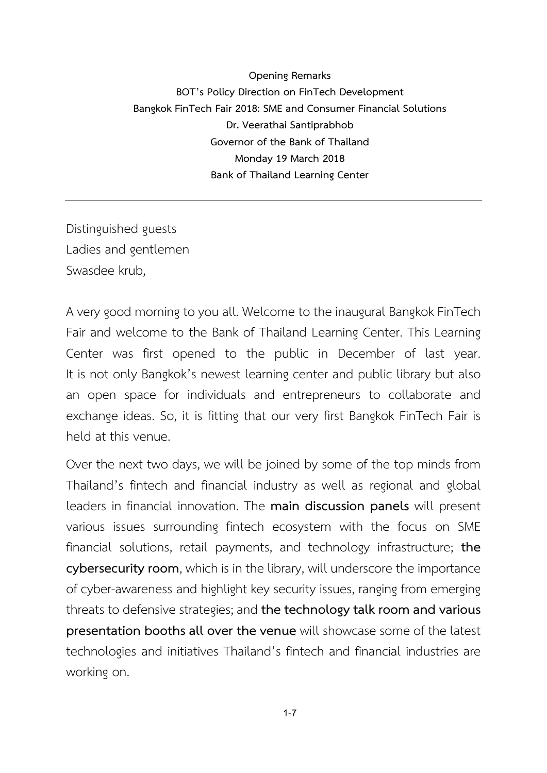**Opening Remarks BOT's Policy Direction on FinTech Development Bangkok FinTech Fair 2018: SME and Consumer Financial Solutions Dr. Veerathai Santiprabhob Governor of the Bank of Thailand Monday 19 March 2018 Bank of Thailand Learning Center**

Distinguished guests Ladies and gentlemen Swasdee krub,

A very good morning to you all. Welcome to the inaugural Bangkok FinTech Fair and welcome to the Bank of Thailand Learning Center. This Learning Center was first opened to the public in December of last year. It is not only Bangkok's newest learning center and public library but also an open space for individuals and entrepreneurs to collaborate and exchange ideas. So, it is fitting that our very first Bangkok FinTech Fair is held at this venue.

Over the next two days, we will be joined by some of the top minds from Thailand's fintech and financial industry as well as regional and global leaders in financial innovation. The **main discussion panels** will present various issues surrounding fintech ecosystem with the focus on SME financial solutions, retail payments, and technology infrastructure; **the cybersecurity room**, which is in the library, will underscore the importance of cyber-awareness and highlight key security issues, ranging from emerging threats to defensive strategies; and the technology talk room and various **presentation booths all over the venue** will showcase some of the latest technologies and initiatives Thailand's fintech and financial industries are working on.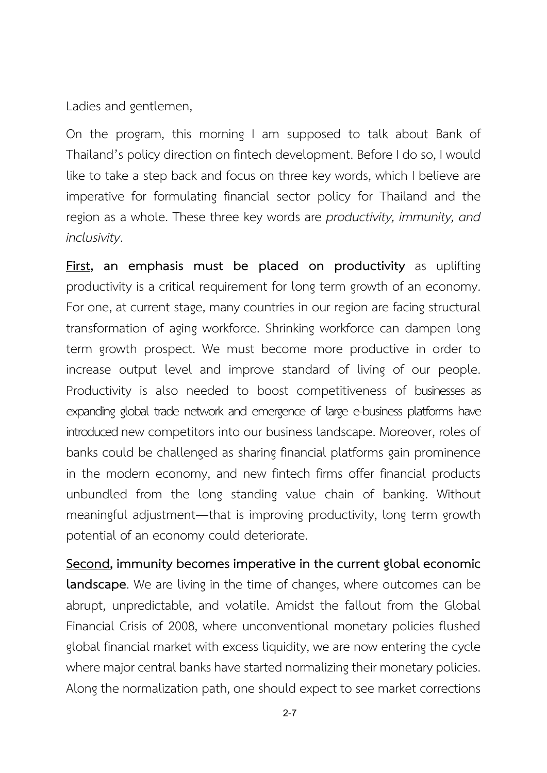Ladies and gentlemen,

On the program, this morning I am supposed to talk about Bank of Thailand's policy direction onfintech development. Before I do so, I would like to take a step back and focus on three key words, which I believe are imperative for formulating financial sector policy for Thailand and the region as a whole. These three key words are *productivity, immunity, and inclusivity*.

**First, an emphasis must be placed on productivity** as uplifting productivity is a critical requirement for long term growth of an economy. For one, at current stage, many countries in our region are facing structural transformation of aging workforce. Shrinking workforce can dampen long term growth prospect. We must become more productive in order to increase output level and improve standard of living of our people. Productivity is also needed to boost competitiveness of businesses as expanding global trade network and emergence of large e-business platforms have introduced new competitors into our business landscape. Moreover, roles of banks could be challenged as sharing financial platforms gain prominence in the modern economy, and new fintech firms offer financial products unbundled from the long standing value chain of banking. Without meaningful adjustment—that is improving productivity, long term growth potential of an economy could deteriorate.

**Second, immunity becomes imperative in the current global economic landscape**. We are living in the time of changes, where outcomes can be abrupt, unpredictable, and volatile. Amidst the fallout from the Global Financial Crisis of 2008, where unconventional monetary policies flushed global financial market with excess liquidity, we are now entering the cycle where major central banks have started normalizing their monetary policies. Along the normalization path, one should expect to see market corrections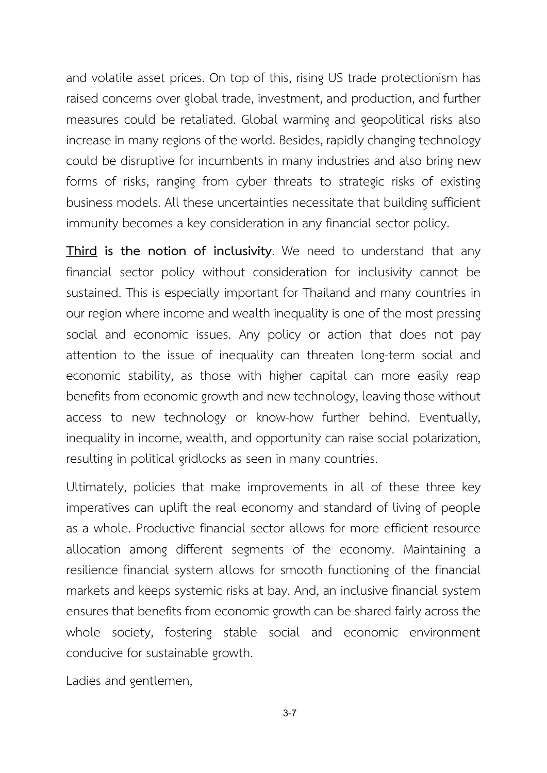and volatile asset prices. On top of this, rising US trade protectionism has raised concerns over global trade, investment, and production, and further measures could be retaliated. Global warming and geopolitical risks also increase in many regions of the world. Besides, rapidly changing technology could be disruptive for incumbents in many industries and also bring new forms of risks, ranging from cyber threats to strategic risks of existing business models. All these uncertainties necessitate that building sufficient immunity becomes a key consideration in any financial sector policy.

**Third is the notion of inclusivity**. We need to understand that any financial sector policy without consideration for inclusivity cannot be sustained. This is especially important for Thailand and many countries in our region where income and wealth inequality is one of the most pressing social and economic issues. Any policy or action that does not pay attention to the issue of inequality can threaten long-term social and economic stability, as those with higher capital can more easily reap benefits from economic growth and new technology, leaving those without access to new technology or know-how further behind. Eventually, inequality in income, wealth, and opportunity can raise social polarization, resulting in political gridlocks as seen in many countries.

Ultimately, policies that make improvements in all of these three key imperatives can uplift the real economy and standard of living of people as a whole. Productive financial sector allows for more efficient resource allocation among different segments of the economy. Maintaining a resilience financial system allows for smooth functioning of the financial markets and keeps systemic risks at bay. And, an inclusive financial system ensures that benefits from economic growth can be shared fairly across the whole society, fostering stable social and economic environment conducive for sustainable growth.

Ladies and gentlemen,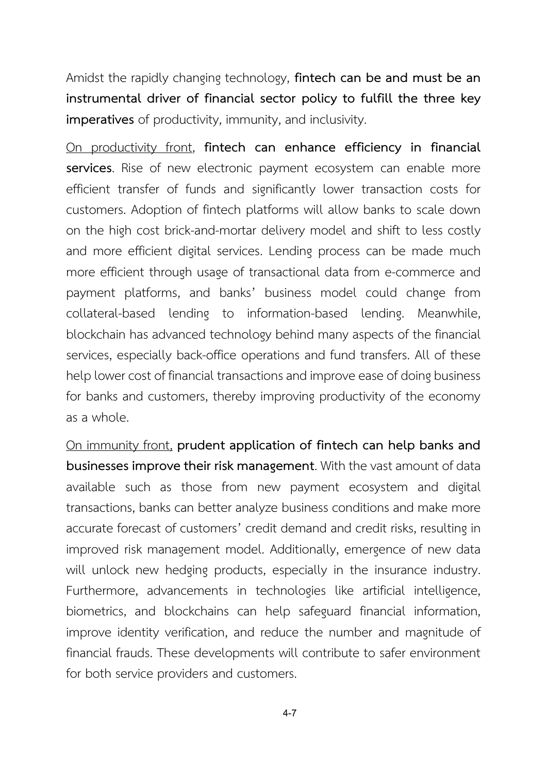Amidst the rapidly changing technology, **fintech can be and must be an instrumental driver of financial sector policy to fulfill the three key imperatives** of productivity, immunity, and inclusivity.

On productivity front, **fintech can enhance efficiency in financial services**. Rise of new electronic payment ecosystem can enable more efficient transfer of funds and significantly lower transaction costs for customers. Adoption of fintech platforms will allow banks to scale down on the high cost brick-and-mortar delivery model and shift to less costly and more efficient digital services. Lending process can be made much more efficient through usage of transactional data from e-commerce and payment platforms, and banks' business model could change from collateral-based lending to information-based lending. Meanwhile, blockchain has advanced technology behind many aspects of the financial services, especially back-office operations and fund transfers. All of these help lower cost of financial transactions and improve ease of doing business for banks and customers, thereby improving productivity of the economy as a whole.

On immunity front, **prudent application of fintech can help banks and businesses improve their risk management**. With the vast amount of data available such as those from new payment ecosystem and digital transactions, banks can better analyze business conditions and make more accurate forecast of customers' credit demand and credit risks, resulting in improved risk management model. Additionally, emergence of new data will unlock new hedging products, especially in the insurance industry. Furthermore, advancements in technologies like artificial intelligence, biometrics, and blockchains can help safeguard financial information, improve identity verification, and reduce the number and magnitude of financial frauds. These developments will contribute to safer environment for both service providers and customers.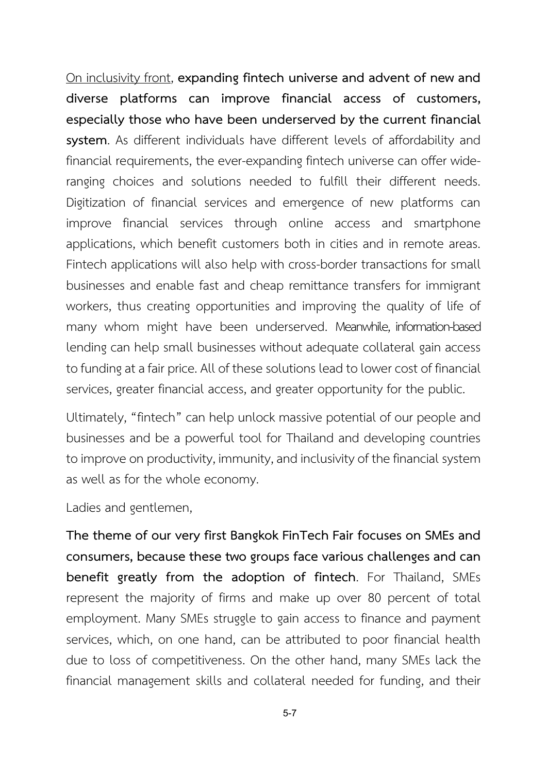On inclusivity front, **expanding fintech universe and advent of new and diverse platforms can improve financial access of customers, especially those who have been underserved by the current financial system**. As different individuals have different levels of affordability and financial requirements, the ever-expanding fintech universe can offer wideranging choices and solutions needed to fulfill their different needs. Digitization of financial services and emergence of new platforms can improve financial services through online access and smartphone applications, which benefit customers both in cities and in remote areas. Fintech applications will also help with cross-border transactions for small businesses and enable fast and cheap remittance transfers for immigrant workers, thus creating opportunities and improving the quality of life of many whom might have been underserved. Meanwhile, information-based lending can help small businesses without adequate collateral gain access to funding at a fair price. All of these solutions lead to lower cost of financial services, greater financial access, and greater opportunity for the public.

Ultimately, "fintech" can help unlock massive potential of our people and businesses and be a powerful tool for Thailand and developing countries to improve on productivity, immunity, and inclusivity of the financial system as well as for the whole economy.

Ladies and gentlemen,

**The theme of our very first Bangkok FinTech Fair focuses on SMEs and consumers, because these two groups face various challenges and can benefit greatly from the adoption of fintech**. For Thailand, SMEs represent the majority of firms and make up over 80 percent of total employment. Many SMEs struggle to gain access to finance and payment services, which, on one hand, can be attributed to poor financial health due to loss of competitiveness. On the other hand, many SMEs lack the financial management skills and collateral needed for funding, and their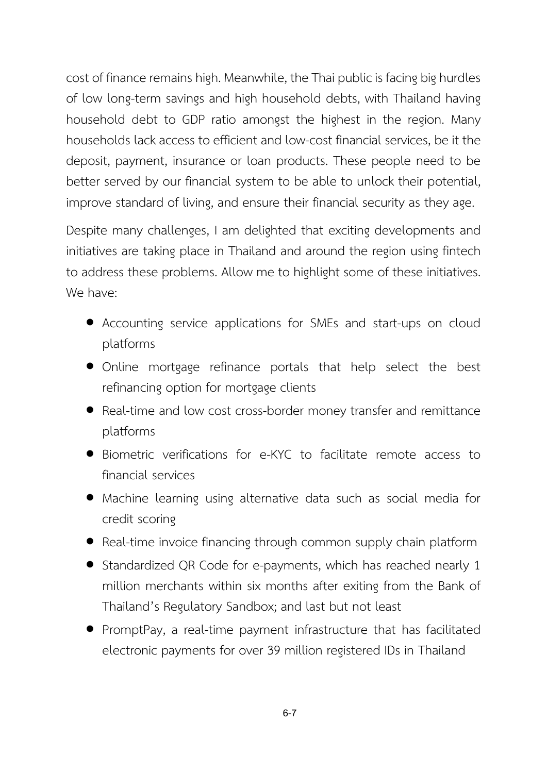cost of finance remains high. Meanwhile, the Thai public is facing big hurdles of low long-term savings and high household debts, with Thailand having household debt to GDP ratio amongst the highest in the region. Many households lack access to efficient and low-cost financial services, be it the deposit, payment, insurance or loan products. These people need to be better served by our financial system to be able to unlock their potential, improve standard of living, and ensure their financial security as they age.

Despite many challenges, I am delighted that exciting developments and initiatives are taking place in Thailand and around the region using fintech to address these problems. Allow me to highlight some of these initiatives. We have:

- Accounting service applications for SMEs and start-ups on cloud platforms
- Online mortgage refinance portals that help select the best refinancing option for mortgage clients
- Real-time and low cost cross-border money transfer and remittance platforms
- Biometric verifications for e-KYC to facilitate remote access to financial services
- Machine learning using alternative data such as social media for credit scoring
- Real-time invoice financing through common supply chain platform
- Standardized QR Code for e-payments, which has reached nearly 1 million merchants within six months after exiting from the Bank of Thailand's Regulatory Sandbox; and last but not least
- PromptPay, a real-time payment infrastructure that has facilitated electronic payments for over 39 million registered IDs in Thailand